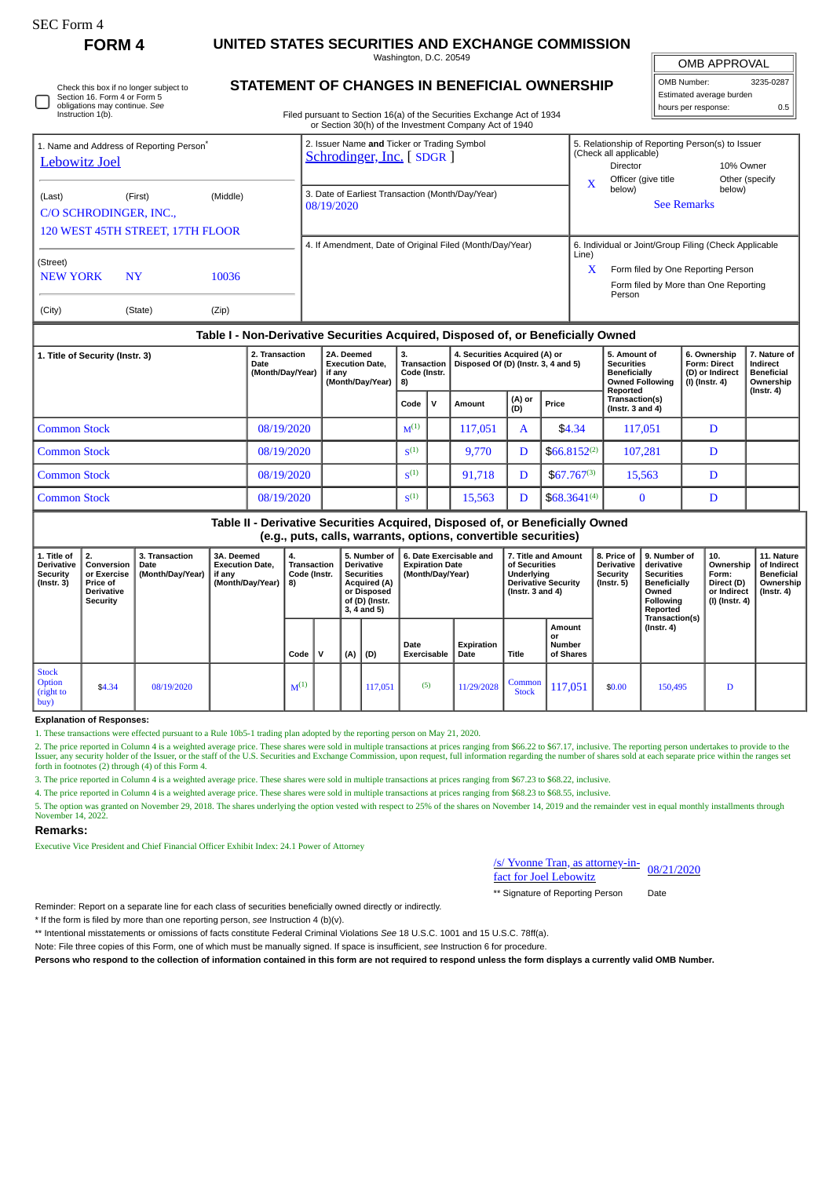Check this box if no longer subject to Section 16. Form 4 or Form 5

## **FORM 4 UNITED STATES SECURITIES AND EXCHANGE COMMISSION**

Washington, D.C. 20549 **STATEMENT OF CHANGES IN BENEFICIAL OWNERSHIP**

OMB APPROVAL

 $\mathbb{I}$ 

| OMB Number:              | 3235-0287 |
|--------------------------|-----------|
| Estimated average burden |           |
| hours per response:      | 0.5       |

| 1. Title of Security (Instr. 3)<br><b>Date</b>          |                                  |       | 2. Transaction<br>(Month/Day/Year) | 2A. Deemed<br><b>Execution Date.</b><br>if any<br>(Month/Day/Year)                                                                                      | 3.<br><b>Transaction</b><br>Code (Instr.<br>8) | 4. Securities Acquired (A) or<br>Disposed Of (D) (Instr. 3, 4 and 5)             |       | 5. Amount of<br><b>Securities</b><br><b>Beneficially</b><br><b>Owned Following</b> | 6. Ownership<br><b>Form: Direct</b><br>(D) or Indirect<br>(I) (Instr. 4)    | 7. Nature of<br>Indirect<br><b>Beneficial</b><br>Ownership |  |  |
|---------------------------------------------------------|----------------------------------|-------|------------------------------------|---------------------------------------------------------------------------------------------------------------------------------------------------------|------------------------------------------------|----------------------------------------------------------------------------------|-------|------------------------------------------------------------------------------------|-----------------------------------------------------------------------------|------------------------------------------------------------|--|--|
|                                                         |                                  |       |                                    |                                                                                                                                                         |                                                | Table I - Non-Derivative Securities Acquired, Disposed of, or Beneficially Owned |       |                                                                                    |                                                                             |                                                            |  |  |
| (City)                                                  | (State)                          | (Zip) |                                    |                                                                                                                                                         |                                                |                                                                                  |       |                                                                                    |                                                                             |                                                            |  |  |
| <b>NEW YORK</b><br><b>NY</b><br>10036                   |                                  |       |                                    |                                                                                                                                                         |                                                |                                                                                  | X     | Person                                                                             | Form filed by One Reporting Person<br>Form filed by More than One Reporting |                                                            |  |  |
| (Street)                                                |                                  |       |                                    |                                                                                                                                                         |                                                | 4. If Amendment, Date of Original Filed (Month/Day/Year)                         | Line) | 6. Individual or Joint/Group Filing (Check Applicable                              |                                                                             |                                                            |  |  |
|                                                         | 120 WEST 45TH STREET, 17TH FLOOR |       |                                    |                                                                                                                                                         |                                                |                                                                                  |       |                                                                                    |                                                                             |                                                            |  |  |
| (Middle)<br>(Last)<br>(First)<br>C/O SCHRODINGER, INC., |                                  |       |                                    | 3. Date of Earliest Transaction (Month/Day/Year)<br>08/19/2020                                                                                          |                                                |                                                                                  |       |                                                                                    | <b>See Remarks</b>                                                          |                                                            |  |  |
| <b>Lebowitz Joel</b>                                    |                                  |       |                                    | Schrodinger, Inc. [SDGR]                                                                                                                                |                                                |                                                                                  | X     | (Check all applicable)<br>Director<br>Officer (give title<br>below)                | 10% Owner<br>Other (specify<br>below)                                       |                                                            |  |  |
| 1. Name and Address of Reporting Person <sup>*</sup>    |                                  |       |                                    | 2. Issuer Name and Ticker or Trading Symbol                                                                                                             |                                                |                                                                                  |       | 5. Relationship of Reporting Person(s) to Issuer                                   |                                                                             |                                                            |  |  |
| Instruction 1(b).                                       | obligations may continue. See    |       |                                    | hours per response:<br>Filed pursuant to Section 16(a) of the Securities Exchange Act of 1934<br>or Section 30(h) of the Investment Company Act of 1940 |                                                |                                                                                  |       |                                                                                    |                                                                             |                                                            |  |  |

|                     |            | <br>(Month/Day/Year)   8) | ---------- |              |         |               |                   | ----------<br><b>Owned Following</b><br>Reported | (I) (Instr. 4) | Ownership<br>$($ lnstr. 4 $)$ |
|---------------------|------------|---------------------------|------------|--------------|---------|---------------|-------------------|--------------------------------------------------|----------------|-------------------------------|
|                     |            |                           | Code       | $\mathbf{v}$ | Amount  | (A) or<br>(D) | Price             | Transaction(s)<br>(Instr. $3$ and $4$ )          |                |                               |
| Common Stock        | 08/19/2020 |                           | $M^{(1)}$  |              | 117,051 | A             | \$4.34            | 117,051                                          | D              |                               |
| <b>Common Stock</b> | 08/19/2020 |                           | $S^{(1)}$  |              | 9.770   |               | $$66.8152^{(2)}$$ | 107,281                                          | D              |                               |
| Common Stock        | 08/19/2020 |                           | $S^{(1)}$  |              | 91.718  |               | $$67.767^{(3)}$$  | 15.563                                           | D              |                               |
| Common Stock        | 08/19/2020 |                           | $S^{(1)}$  |              | 15,563  |               | $$68.3641^{(4)}$  |                                                  |                |                               |

|                                                                   | Table II - Derivative Securities Acquired, Disposed of, or Beneficially Owned<br>(e.g., puts, calls, warrants, options, convertible securities) |                                            |                                                                    |                                                |  |     |                                                                                                                                   |                                                                       |                    |                                                                                                            |                                     |                                                            |                                                                                                                            |                                                                          |                                                                                 |
|-------------------------------------------------------------------|-------------------------------------------------------------------------------------------------------------------------------------------------|--------------------------------------------|--------------------------------------------------------------------|------------------------------------------------|--|-----|-----------------------------------------------------------------------------------------------------------------------------------|-----------------------------------------------------------------------|--------------------|------------------------------------------------------------------------------------------------------------|-------------------------------------|------------------------------------------------------------|----------------------------------------------------------------------------------------------------------------------------|--------------------------------------------------------------------------|---------------------------------------------------------------------------------|
| 1. Title of<br><b>Derivative</b><br><b>Security</b><br>(Instr. 3) | 2.<br>Conversion<br>or Exercise<br><b>Price of</b><br><b>Derivative</b><br>Security                                                             | 3. Transaction<br>Date<br>(Month/Day/Year) | 3A. Deemed<br><b>Execution Date,</b><br>if any<br>(Month/Day/Year) | 4.<br><b>Transaction</b><br>Code (Instr.<br>8) |  |     | 5. Number of<br><b>Derivative</b><br><b>Securities</b><br><b>Acquired (A)</b><br>or Disposed<br>of (D) (Instr.<br>$3, 4$ and $5)$ | 6. Date Exercisable and<br><b>Expiration Date</b><br>(Month/Day/Year) |                    | 7. Title and Amount<br>of Securities<br>Underlying<br><b>Derivative Security</b><br>$($ lnstr. 3 and 4 $)$ |                                     | 8. Price of<br><b>Derivative</b><br>Security<br>(Instr. 5) | 9. Number of<br>derivative<br><b>Securities</b><br><b>Beneficially</b><br>Owned<br>Following<br>Reported<br>Transaction(s) | 10.<br>Ownership<br>Form:<br>Direct (D)<br>or Indirect<br>(I) (Instr. 4) | 11. Nature<br>of Indirect<br><b>Beneficial</b><br>Ownership<br>$($ lnstr. 4 $)$ |
|                                                                   |                                                                                                                                                 |                                            |                                                                    | Code                                           |  | (A) | (D)                                                                                                                               | Date<br><b>Exercisable</b>                                            | Expiration<br>Date | Title                                                                                                      | Amount<br>or<br>Number<br>of Shares |                                                            | $($ lnstr. 4 $)$                                                                                                           |                                                                          |                                                                                 |
| <b>Stock</b><br>Option<br>(right to<br>buy)                       | \$4.34                                                                                                                                          | 08/19/2020                                 |                                                                    | $M^{(1)}$                                      |  |     | 117,051                                                                                                                           | (5)                                                                   | 11/29/2028         | Common<br><b>Stock</b>                                                                                     | 117,051                             | \$0.00                                                     | 150,495                                                                                                                    | D                                                                        |                                                                                 |

## **Explanation of Responses:**

1. These transactions were effected pursuant to a Rule 10b5-1 trading plan adopted by the reporting person on May 21, 2020.

2. The price reported in Column 4 is a weighted average price. These shares were sold in multiple transactions at prices ranging from \$66.22 to \$67.17, inclusive. The reporting person undertakes to provide to the<br>Issuer, a forth in footnotes (2) through (4) of this Form 4.

3. The price reported in Column 4 is a weighted average price. These shares were sold in multiple transactions at prices ranging from \$67.23 to \$68.22, inclusive.

4. The price reported in Column 4 is a weighted average price. These shares were sold in multiple transactions at prices ranging from \$68.23 to \$68.55, inclusive.

5. The option was granted on November 29, 2018. The shares underlying the option vested with respect to 25% of the shares on November 14, 2019 and the remainder vest in equal monthly installments through November 14, 2022.

## **Remarks:**

Executive Vice President and Chief Financial Officer Exhibit Index: 24.1 Power of Attorney

| $\frac{\text{S/Nvonne Tran}}{\text{S/Nvlin}}$ as attorney-in-<br>08/21/2020 |  |
|-----------------------------------------------------------------------------|--|
| fact for Joel Lebowitz                                                      |  |

\*\* Signature of Reporting Person Date

Reminder: Report on a separate line for each class of securities beneficially owned directly or indirectly.

\* If the form is filed by more than one reporting person, *see* Instruction 4 (b)(v).

\*\* Intentional misstatements or omissions of facts constitute Federal Criminal Violations *See* 18 U.S.C. 1001 and 15 U.S.C. 78ff(a).

Note: File three copies of this Form, one of which must be manually signed. If space is insufficient, *see* Instruction 6 for procedure.

**Persons who respond to the collection of information contained in this form are not required to respond unless the form displays a currently valid OMB Number.**